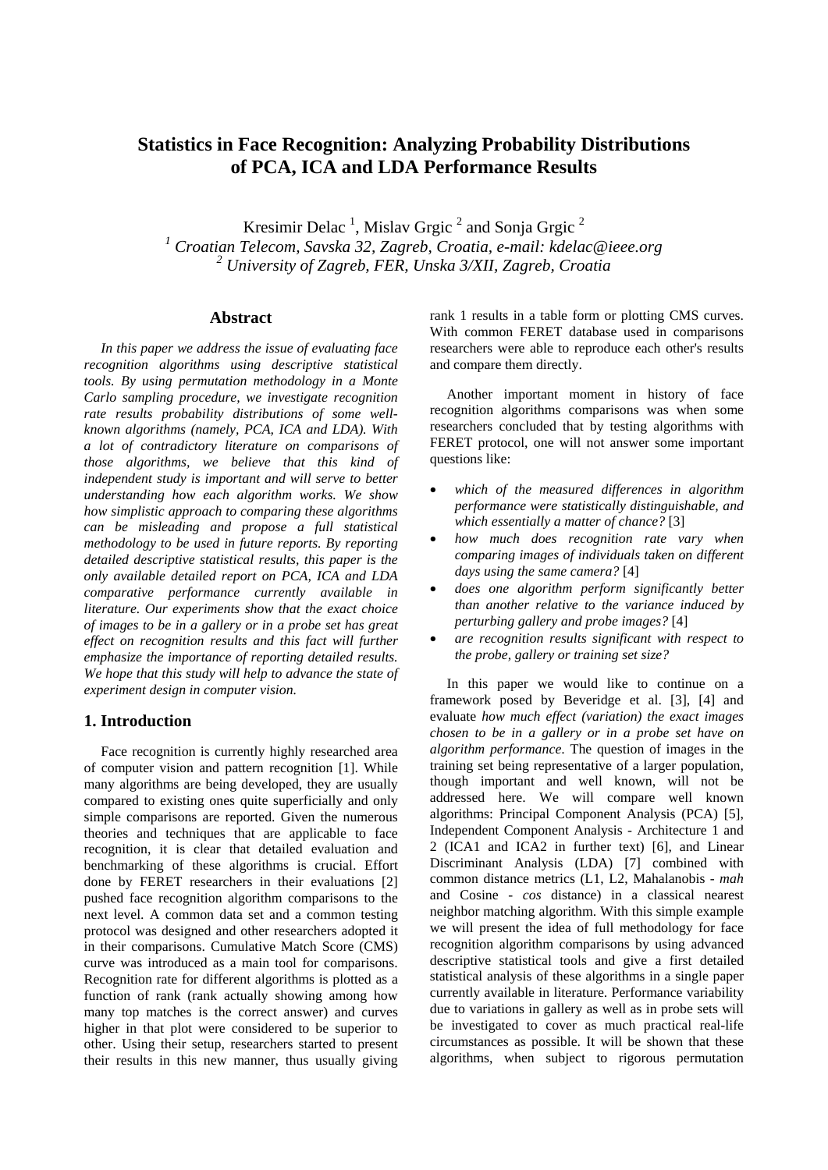# **Statistics in Face Recognition: Analyzing Probability Distributions of PCA, ICA and LDA Performance Results**

Kresimir Delac<sup>1</sup>, Mislav Grgic<sup>2</sup> and Sonja Grgic<sup>2</sup> *1 Croatian Telecom, Savska 32, Zagreb, Croatia, e-mail: kdelac@ieee.org 2 University of Zagreb, FER, Unska 3/XII, Zagreb, Croatia*

#### **Abstract**

*In this paper we address the issue of evaluating face recognition algorithms using descriptive statistical tools. By using permutation methodology in a Monte Carlo sampling procedure, we investigate recognition rate results probability distributions of some wellknown algorithms (namely, PCA, ICA and LDA). With a lot of contradictory literature on comparisons of those algorithms, we believe that this kind of independent study is important and will serve to better understanding how each algorithm works. We show how simplistic approach to comparing these algorithms can be misleading and propose a full statistical methodology to be used in future reports. By reporting detailed descriptive statistical results, this paper is the only available detailed report on PCA, ICA and LDA comparative performance currently available in literature. Our experiments show that the exact choice of images to be in a gallery or in a probe set has great effect on recognition results and this fact will further emphasize the importance of reporting detailed results. We hope that this study will help to advance the state of experiment design in computer vision.* 

### **1. Introduction**

Face recognition is currently highly researched area of computer vision and pattern recognition [1]. While many algorithms are being developed, they are usually compared to existing ones quite superficially and only simple comparisons are reported. Given the numerous theories and techniques that are applicable to face recognition, it is clear that detailed evaluation and benchmarking of these algorithms is crucial. Effort done by FERET researchers in their evaluations [2] pushed face recognition algorithm comparisons to the next level. A common data set and a common testing protocol was designed and other researchers adopted it in their comparisons. Cumulative Match Score (CMS) curve was introduced as a main tool for comparisons. Recognition rate for different algorithms is plotted as a function of rank (rank actually showing among how many top matches is the correct answer) and curves higher in that plot were considered to be superior to other. Using their setup, researchers started to present their results in this new manner, thus usually giving rank 1 results in a table form or plotting CMS curves. With common FERET database used in comparisons researchers were able to reproduce each other's results and compare them directly.

Another important moment in history of face recognition algorithms comparisons was when some researchers concluded that by testing algorithms with FERET protocol, one will not answer some important questions like:

- *which of the measured differences in algorithm performance were statistically distinguishable, and which essentially a matter of chance?* [3]
- *how much does recognition rate vary when comparing images of individuals taken on different days using the same camera?* [4]
- *does one algorithm perform significantly better than another relative to the variance induced by perturbing gallery and probe images?* [4]
- *are recognition results significant with respect to the probe, gallery or training set size?*

In this paper we would like to continue on a framework posed by Beveridge et al. [3], [4] and evaluate *how much effect (variation) the exact images chosen to be in a gallery or in a probe set have on algorithm performance*. The question of images in the training set being representative of a larger population, though important and well known, will not be addressed here. We will compare well known algorithms: Principal Component Analysis (PCA) [5], Independent Component Analysis - Architecture 1 and 2 (ICA1 and ICA2 in further text) [6], and Linear Discriminant Analysis (LDA) [7] combined with common distance metrics (L1, L2, Mahalanobis - *mah* and Cosine - *cos* distance) in a classical nearest neighbor matching algorithm. With this simple example we will present the idea of full methodology for face recognition algorithm comparisons by using advanced descriptive statistical tools and give a first detailed statistical analysis of these algorithms in a single paper currently available in literature. Performance variability due to variations in gallery as well as in probe sets will be investigated to cover as much practical real-life circumstances as possible. It will be shown that these algorithms, when subject to rigorous permutation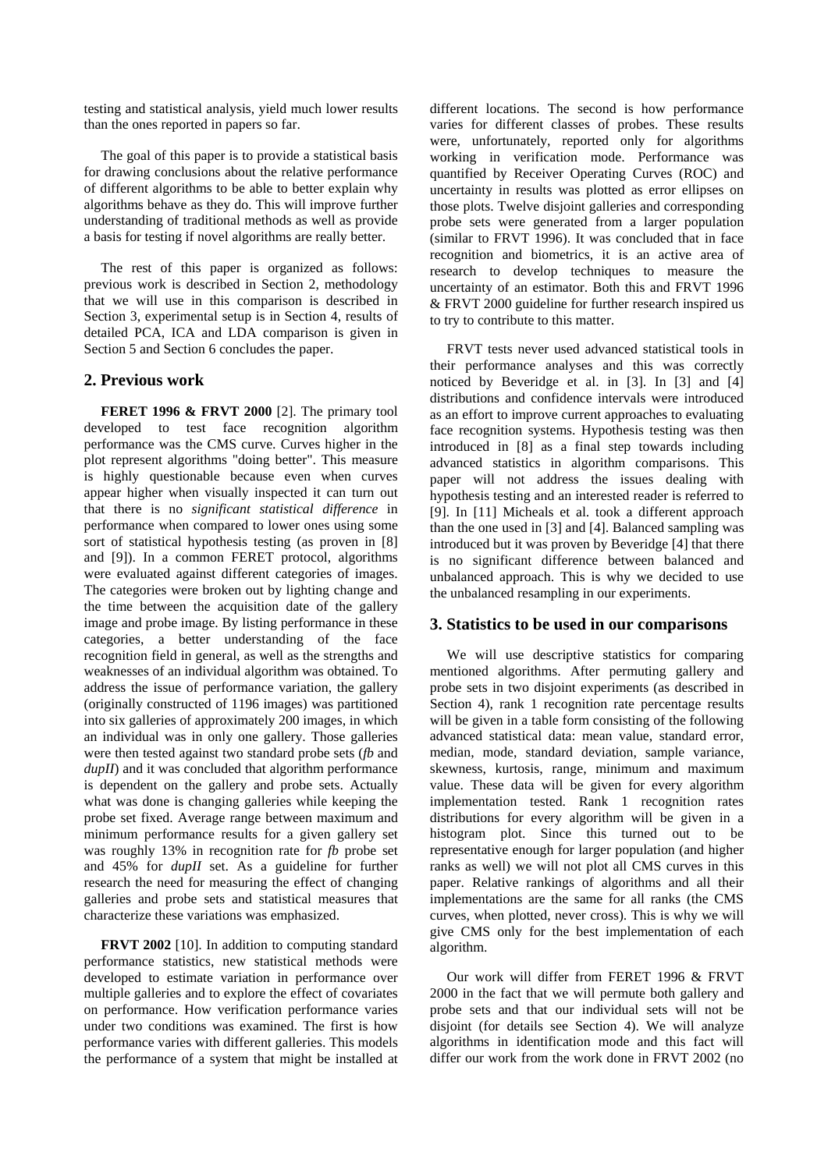testing and statistical analysis, yield much lower results than the ones reported in papers so far.

The goal of this paper is to provide a statistical basis for drawing conclusions about the relative performance of different algorithms to be able to better explain why algorithms behave as they do. This will improve further understanding of traditional methods as well as provide a basis for testing if novel algorithms are really better.

The rest of this paper is organized as follows: previous work is described in Section 2, methodology that we will use in this comparison is described in Section 3, experimental setup is in Section 4, results of detailed PCA, ICA and LDA comparison is given in Section 5 and Section 6 concludes the paper.

#### **2. Previous work**

**FERET 1996 & FRVT 2000** [2]. The primary tool developed to test face recognition algorithm performance was the CMS curve. Curves higher in the plot represent algorithms "doing better". This measure is highly questionable because even when curves appear higher when visually inspected it can turn out that there is no *significant statistical difference* in performance when compared to lower ones using some sort of statistical hypothesis testing (as proven in [8] and [9]). In a common FERET protocol, algorithms were evaluated against different categories of images. The categories were broken out by lighting change and the time between the acquisition date of the gallery image and probe image. By listing performance in these categories, a better understanding of the face recognition field in general, as well as the strengths and weaknesses of an individual algorithm was obtained. To address the issue of performance variation, the gallery (originally constructed of 1196 images) was partitioned into six galleries of approximately 200 images, in which an individual was in only one gallery. Those galleries were then tested against two standard probe sets (*fb* and *dupII*) and it was concluded that algorithm performance is dependent on the gallery and probe sets. Actually what was done is changing galleries while keeping the probe set fixed. Average range between maximum and minimum performance results for a given gallery set was roughly 13% in recognition rate for *fb* probe set and 45% for *dupII* set. As a guideline for further research the need for measuring the effect of changing galleries and probe sets and statistical measures that characterize these variations was emphasized.

**FRVT 2002** [10]. In addition to computing standard performance statistics, new statistical methods were developed to estimate variation in performance over multiple galleries and to explore the effect of covariates on performance. How verification performance varies under two conditions was examined. The first is how performance varies with different galleries. This models the performance of a system that might be installed at

different locations. The second is how performance varies for different classes of probes. These results were, unfortunately, reported only for algorithms working in verification mode. Performance was quantified by Receiver Operating Curves (ROC) and uncertainty in results was plotted as error ellipses on those plots. Twelve disjoint galleries and corresponding probe sets were generated from a larger population (similar to FRVT 1996). It was concluded that in face recognition and biometrics, it is an active area of research to develop techniques to measure the uncertainty of an estimator. Both this and FRVT 1996 & FRVT 2000 guideline for further research inspired us to try to contribute to this matter.

FRVT tests never used advanced statistical tools in their performance analyses and this was correctly noticed by Beveridge et al. in [3]. In [3] and [4] distributions and confidence intervals were introduced as an effort to improve current approaches to evaluating face recognition systems. Hypothesis testing was then introduced in [8] as a final step towards including advanced statistics in algorithm comparisons. This paper will not address the issues dealing with hypothesis testing and an interested reader is referred to [9]. In [11] Micheals et al. took a different approach than the one used in [3] and [4]. Balanced sampling was introduced but it was proven by Beveridge [4] that there is no significant difference between balanced and unbalanced approach. This is why we decided to use the unbalanced resampling in our experiments.

#### **3. Statistics to be used in our comparisons**

We will use descriptive statistics for comparing mentioned algorithms. After permuting gallery and probe sets in two disjoint experiments (as described in Section 4), rank 1 recognition rate percentage results will be given in a table form consisting of the following advanced statistical data: mean value, standard error, median, mode, standard deviation, sample variance, skewness, kurtosis, range, minimum and maximum value. These data will be given for every algorithm implementation tested. Rank 1 recognition rates distributions for every algorithm will be given in a histogram plot. Since this turned out to be representative enough for larger population (and higher ranks as well) we will not plot all CMS curves in this paper. Relative rankings of algorithms and all their implementations are the same for all ranks (the CMS curves, when plotted, never cross). This is why we will give CMS only for the best implementation of each algorithm.

Our work will differ from FERET 1996 & FRVT 2000 in the fact that we will permute both gallery and probe sets and that our individual sets will not be disjoint (for details see Section 4). We will analyze algorithms in identification mode and this fact will differ our work from the work done in FRVT 2002 (no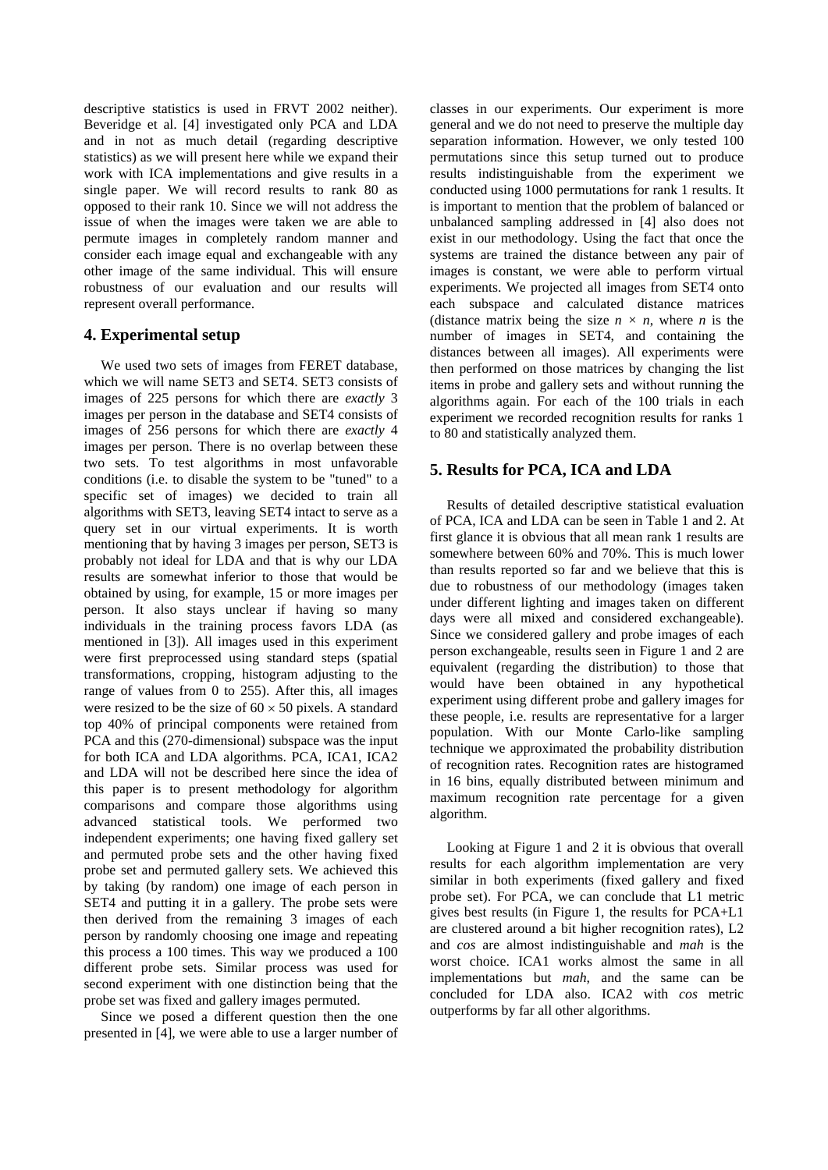descriptive statistics is used in FRVT 2002 neither). Beveridge et al. [4] investigated only PCA and LDA and in not as much detail (regarding descriptive statistics) as we will present here while we expand their work with ICA implementations and give results in a single paper. We will record results to rank 80 as opposed to their rank 10. Since we will not address the issue of when the images were taken we are able to permute images in completely random manner and consider each image equal and exchangeable with any other image of the same individual. This will ensure robustness of our evaluation and our results will represent overall performance.

# **4. Experimental setup**

We used two sets of images from FERET database, which we will name SET3 and SET4. SET3 consists of images of 225 persons for which there are *exactly* 3 images per person in the database and SET4 consists of images of 256 persons for which there are *exactly* 4 images per person. There is no overlap between these two sets. To test algorithms in most unfavorable conditions (i.e. to disable the system to be "tuned" to a specific set of images) we decided to train all algorithms with SET3, leaving SET4 intact to serve as a query set in our virtual experiments. It is worth mentioning that by having 3 images per person, SET3 is probably not ideal for LDA and that is why our LDA results are somewhat inferior to those that would be obtained by using, for example, 15 or more images per person. It also stays unclear if having so many individuals in the training process favors LDA (as mentioned in [3]). All images used in this experiment were first preprocessed using standard steps (spatial transformations, cropping, histogram adjusting to the range of values from 0 to 255). After this, all images were resized to be the size of  $60 \times 50$  pixels. A standard top 40% of principal components were retained from PCA and this (270-dimensional) subspace was the input for both ICA and LDA algorithms. PCA, ICA1, ICA2 and LDA will not be described here since the idea of this paper is to present methodology for algorithm comparisons and compare those algorithms using advanced statistical tools. We performed two independent experiments; one having fixed gallery set and permuted probe sets and the other having fixed probe set and permuted gallery sets. We achieved this by taking (by random) one image of each person in SET4 and putting it in a gallery. The probe sets were then derived from the remaining 3 images of each person by randomly choosing one image and repeating this process a 100 times. This way we produced a 100 different probe sets. Similar process was used for second experiment with one distinction being that the probe set was fixed and gallery images permuted.

Since we posed a different question then the one presented in [4], we were able to use a larger number of

classes in our experiments. Our experiment is more general and we do not need to preserve the multiple day separation information. However, we only tested 100 permutations since this setup turned out to produce results indistinguishable from the experiment we conducted using 1000 permutations for rank 1 results. It is important to mention that the problem of balanced or unbalanced sampling addressed in [4] also does not exist in our methodology. Using the fact that once the systems are trained the distance between any pair of images is constant, we were able to perform virtual experiments. We projected all images from SET4 onto each subspace and calculated distance matrices (distance matrix being the size  $n \times n$ , where *n* is the number of images in SET4, and containing the distances between all images). All experiments were then performed on those matrices by changing the list items in probe and gallery sets and without running the algorithms again. For each of the 100 trials in each experiment we recorded recognition results for ranks 1 to 80 and statistically analyzed them.

# **5. Results for PCA, ICA and LDA**

Results of detailed descriptive statistical evaluation of PCA, ICA and LDA can be seen in Table 1 and 2. At first glance it is obvious that all mean rank 1 results are somewhere between 60% and 70%. This is much lower than results reported so far and we believe that this is due to robustness of our methodology (images taken under different lighting and images taken on different days were all mixed and considered exchangeable). Since we considered gallery and probe images of each person exchangeable, results seen in Figure 1 and 2 are equivalent (regarding the distribution) to those that would have been obtained in any hypothetical experiment using different probe and gallery images for these people, i.e. results are representative for a larger population. With our Monte Carlo-like sampling technique we approximated the probability distribution of recognition rates. Recognition rates are histogramed in 16 bins, equally distributed between minimum and maximum recognition rate percentage for a given algorithm.

Looking at Figure 1 and 2 it is obvious that overall results for each algorithm implementation are very similar in both experiments (fixed gallery and fixed probe set). For PCA, we can conclude that L1 metric gives best results (in Figure 1, the results for PCA+L1 are clustered around a bit higher recognition rates), L2 and *cos* are almost indistinguishable and *mah* is the worst choice. ICA1 works almost the same in all implementations but *mah*, and the same can be concluded for LDA also. ICA2 with *cos* metric outperforms by far all other algorithms.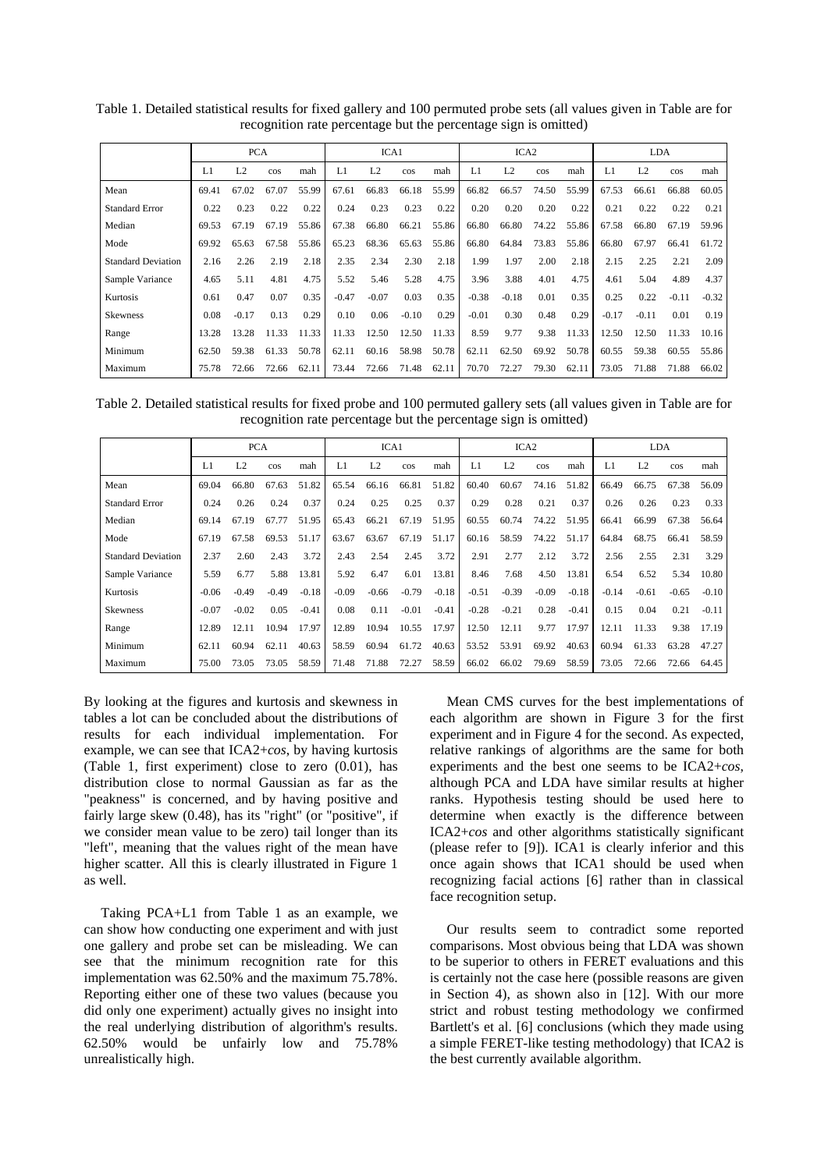|                           | <b>PCA</b> |                |        |       | ICA1    |                |         |       | ICA <sub>2</sub> |                |        |       | <b>LDA</b> |                |         |         |
|---------------------------|------------|----------------|--------|-------|---------|----------------|---------|-------|------------------|----------------|--------|-------|------------|----------------|---------|---------|
|                           | L1         | L <sub>2</sub> | $\cos$ | mah   | L1      | L <sub>2</sub> | $\cos$  | mah   | L1               | L <sub>2</sub> | $\cos$ | mah   | L1         | L <sub>2</sub> | cos     | mah     |
| Mean                      | 69.41      | 67.02          | 67.07  | 55.99 | 67.61   | 66.83          | 66.18   | 55.99 | 66.82            | 66.57          | 74.50  | 55.99 | 67.53      | 66.61          | 66.88   | 60.05   |
| <b>Standard Error</b>     | 0.22       | 0.23           | 0.22   | 0.22  | 0.24    | 0.23           | 0.23    | 0.22  | 0.20             | 0.20           | 0.20   | 0.22  | 0.21       | 0.22           | 0.22    | 0.21    |
| Median                    | 69.53      | 67.19          | 67.19  | 55.86 | 67.38   | 66.80          | 66.21   | 55.86 | 66.80            | 66.80          | 74.22  | 55.86 | 67.58      | 66.80          | 67.19   | 59.96   |
| Mode                      | 69.92      | 65.63          | 67.58  | 55.86 | 65.23   | 68.36          | 65.63   | 55.86 | 66.80            | 64.84          | 73.83  | 55.86 | 66.80      | 67.97          | 66.41   | 61.72   |
| <b>Standard Deviation</b> | 2.16       | 2.26           | 2.19   | 2.18  | 2.35    | 2.34           | 2.30    | 2.18  | 1.99             | 1.97           | 2.00   | 2.18  | 2.15       | 2.25           | 2.21    | 2.09    |
| Sample Variance           | 4.65       | 5.11           | 4.81   | 4.75  | 5.52    | 5.46           | 5.28    | 4.75  | 3.96             | 3.88           | 4.01   | 4.75  | 4.61       | 5.04           | 4.89    | 4.37    |
| Kurtosis                  | 0.61       | 0.47           | 0.07   | 0.35  | $-0.47$ | $-0.07$        | 0.03    | 0.35  | $-0.38$          | $-0.18$        | 0.01   | 0.35  | 0.25       | 0.22           | $-0.11$ | $-0.32$ |
| <b>Skewness</b>           | 0.08       | $-0.17$        | 0.13   | 0.29  | 0.10    | 0.06           | $-0.10$ | 0.29  | $-0.01$          | 0.30           | 0.48   | 0.29  | $-0.17$    | $-0.11$        | 0.01    | 0.19    |
| Range                     | 13.28      | 13.28          | 11.33  | 11.33 | 11.33   | 12.50          | 12.50   | 11.33 | 8.59             | 9.77           | 9.38   | 11.33 | 12.50      | 12.50          | 11.33   | 10.16   |
| Minimum                   | 62.50      | 59.38          | 61.33  | 50.78 | 62.11   | 60.16          | 58.98   | 50.78 | 62.11            | 62.50          | 69.92  | 50.78 | 60.55      | 59.38          | 60.55   | 55.86   |
| Maximum                   | 75.78      | 72.66          | 72.66  | 62.11 | 73.44   | 72.66          | 71.48   | 62.11 | 70.70            | 72.27          | 79.30  | 62.11 | 73.05      | 71.88          | 71.88   | 66.02   |

Table 1. Detailed statistical results for fixed gallery and 100 permuted probe sets (all values given in Table are for recognition rate percentage but the percentage sign is omitted)

Table 2. Detailed statistical results for fixed probe and 100 permuted gallery sets (all values given in Table are for recognition rate percentage but the percentage sign is omitted)

|                           | <b>PCA</b> |         |         |         | ICA1    |                |         |         | ICA <sub>2</sub> |         |         |         | <b>LDA</b> |                |         |         |
|---------------------------|------------|---------|---------|---------|---------|----------------|---------|---------|------------------|---------|---------|---------|------------|----------------|---------|---------|
|                           | L1         | L2      | $\cos$  | mah     | L1      | L <sub>2</sub> | $\cos$  | mah     | L1               | L2      | cos     | mah     | L1         | L <sub>2</sub> | $\cos$  | mah     |
| Mean                      | 69.04      | 66.80   | 67.63   | 51.82   | 65.54   | 66.16          | 66.81   | 51.82   | 60.40            | 60.67   | 74.16   | 51.82   | 66.49      | 66.75          | 67.38   | 56.09   |
| <b>Standard Error</b>     | 0.24       | 0.26    | 0.24    | 0.37    | 0.24    | 0.25           | 0.25    | 0.37    | 0.29             | 0.28    | 0.21    | 0.37    | 0.26       | 0.26           | 0.23    | 0.33    |
| Median                    | 69.14      | 67.19   | 67.77   | 51.95   | 65.43   | 66.21          | 67.19   | 51.95   | 60.55            | 60.74   | 74.22   | 51.95   | 66.41      | 66.99          | 67.38   | 56.64   |
| Mode                      | 67.19      | 67.58   | 69.53   | 51.17   | 63.67   | 63.67          | 67.19   | 51.17   | 60.16            | 58.59   | 74.22   | 51.17   | 64.84      | 68.75          | 66.41   | 58.59   |
| <b>Standard Deviation</b> | 2.37       | 2.60    | 2.43    | 3.72    | 2.43    | 2.54           | 2.45    | 3.72    | 2.91             | 2.77    | 2.12    | 3.72    | 2.56       | 2.55           | 2.31    | 3.29    |
| Sample Variance           | 5.59       | 6.77    | 5.88    | 13.81   | 5.92    | 6.47           | 6.01    | 13.81   | 8.46             | 7.68    | 4.50    | 13.81   | 6.54       | 6.52           | 5.34    | 10.80   |
| Kurtosis                  | $-0.06$    | $-0.49$ | $-0.49$ | $-0.18$ | $-0.09$ | $-0.66$        | $-0.79$ | $-0.18$ | $-0.51$          | $-0.39$ | $-0.09$ | $-0.18$ | $-0.14$    | $-0.61$        | $-0.65$ | $-0.10$ |
| <b>Skewness</b>           | $-0.07$    | $-0.02$ | 0.05    | $-0.41$ | 0.08    | 0.11           | $-0.01$ | $-0.41$ | $-0.28$          | $-0.21$ | 0.28    | $-0.41$ | 0.15       | 0.04           | 0.21    | $-0.11$ |
| Range                     | 12.89      | 12.11   | 10.94   | 17.97   | 12.89   | 10.94          | 10.55   | 17.97   | 12.50            | 12.11   | 9.77    | 17.97   | 12.11      | 11.33          | 9.38    | 17.19   |
| Minimum                   | 62.11      | 60.94   | 62.11   | 40.63   | 58.59   | 60.94          | 61.72   | 40.63   | 53.52            | 53.91   | 69.92   | 40.63   | 60.94      | 61.33          | 63.28   | 47.27   |
| Maximum                   | 75.00      | 73.05   | 73.05   | 58.59   | 71.48   | 71.88          | 72.27   | 58.59   | 66.02            | 66.02   | 79.69   | 58.59   | 73.05      | 72.66          | 72.66   | 64.45   |

By looking at the figures and kurtosis and skewness in tables a lot can be concluded about the distributions of results for each individual implementation. For example, we can see that ICA2+*cos*, by having kurtosis (Table 1, first experiment) close to zero (0.01), has distribution close to normal Gaussian as far as the "peakness" is concerned, and by having positive and fairly large skew (0.48), has its "right" (or "positive", if we consider mean value to be zero) tail longer than its "left", meaning that the values right of the mean have higher scatter. All this is clearly illustrated in Figure 1 as well.

Taking PCA+L1 from Table 1 as an example, we can show how conducting one experiment and with just one gallery and probe set can be misleading. We can see that the minimum recognition rate for this implementation was 62.50% and the maximum 75.78%. Reporting either one of these two values (because you did only one experiment) actually gives no insight into the real underlying distribution of algorithm's results. 62.50% would be unfairly low and 75.78% unrealistically high.

Mean CMS curves for the best implementations of each algorithm are shown in Figure 3 for the first experiment and in Figure 4 for the second. As expected, relative rankings of algorithms are the same for both experiments and the best one seems to be ICA2+*cos*, although PCA and LDA have similar results at higher ranks. Hypothesis testing should be used here to determine when exactly is the difference between ICA2+*cos* and other algorithms statistically significant (please refer to [9]). ICA1 is clearly inferior and this once again shows that ICA1 should be used when recognizing facial actions [6] rather than in classical face recognition setup.

Our results seem to contradict some reported comparisons. Most obvious being that LDA was shown to be superior to others in FERET evaluations and this is certainly not the case here (possible reasons are given in Section 4), as shown also in [12]. With our more strict and robust testing methodology we confirmed Bartlett's et al. [6] conclusions (which they made using a simple FERET-like testing methodology) that ICA2 is the best currently available algorithm.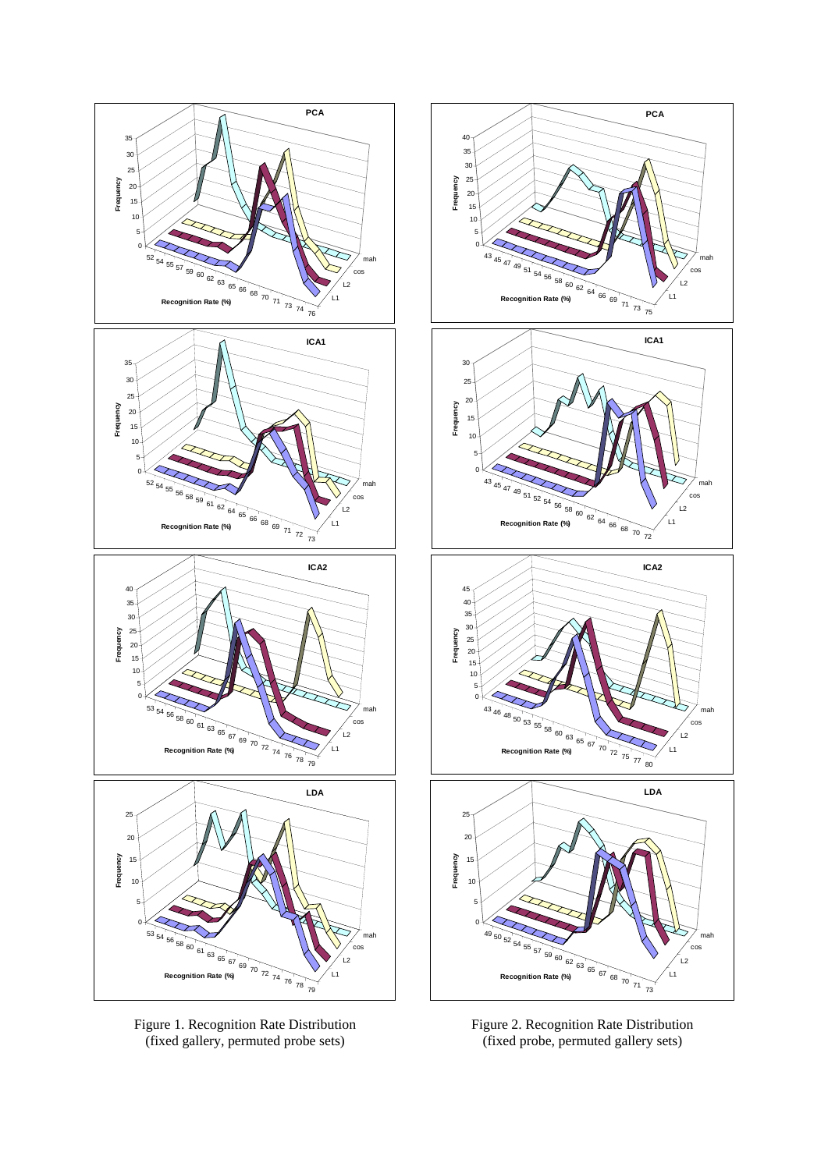

Figure 1. Recognition Rate Distribution (fixed gallery, permuted probe sets)



Figure 2. Recognition Rate Distribution (fixed probe, permuted gallery sets)